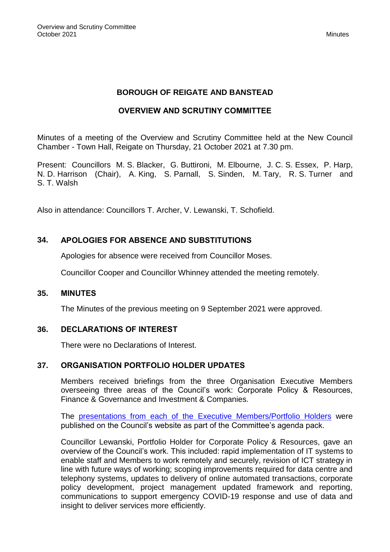## **BOROUGH OF REIGATE AND BANSTEAD**

## **OVERVIEW AND SCRUTINY COMMITTEE**

Minutes of a meeting of the Overview and Scrutiny Committee held at the New Council Chamber - Town Hall, Reigate on Thursday, 21 October 2021 at 7.30 pm.

Present: Councillors M. S. Blacker, G. Buttironi, M. Elbourne, J. C. S. Essex, P. Harp, N. D. Harrison (Chair), A. King, S. Parnall, S. Sinden, M. Tary, R. S. Turner and S. T. Walsh

Also in attendance: Councillors T. Archer, V. Lewanski, T. Schofield.

## **34. APOLOGIES FOR ABSENCE AND SUBSTITUTIONS**

Apologies for absence were received from Councillor Moses.

Councillor Cooper and Councillor Whinney attended the meeting remotely.

#### **35. MINUTES**

The Minutes of the previous meeting on 9 September 2021 were approved.

#### **36. DECLARATIONS OF INTEREST**

There were no Declarations of Interest.

#### **37. ORGANISATION PORTFOLIO HOLDER UPDATES**

Members received briefings from the three Organisation Executive Members overseeing three areas of the Council's work: Corporate Policy & Resources, Finance & Governance and Investment & Companies.

The presentations from each of the [Executive Members/Portfolio Holders](https://reigate-banstead.moderngov.co.uk/documents/s16772/1.ORG%20PH%20Updates%20for%20OS%20main.pdf) were published on the Council's website as part of the Committee's agenda pack.

Councillor Lewanski, Portfolio Holder for Corporate Policy & Resources, gave an overview of the Council's work. This included: rapid implementation of IT systems to enable staff and Members to work remotely and securely, revision of ICT strategy in line with future ways of working; scoping improvements required for data centre and telephony systems, updates to delivery of online automated transactions, corporate policy development, project management updated framework and reporting, communications to support emergency COVID-19 response and use of data and insight to deliver services more efficiently.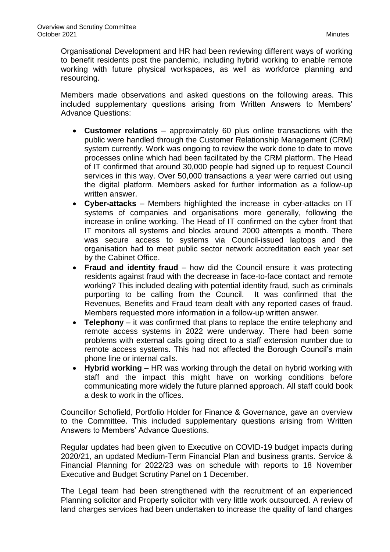Organisational Development and HR had been reviewing different ways of working to benefit residents post the pandemic, including hybrid working to enable remote working with future physical workspaces, as well as workforce planning and resourcing.

Members made observations and asked questions on the following areas. This included supplementary questions arising from Written Answers to Members' Advance Questions:

- **Customer relations** approximately 60 plus online transactions with the public were handled through the Customer Relationship Management (CRM) system currently. Work was ongoing to review the work done to date to move processes online which had been facilitated by the CRM platform. The Head of IT confirmed that around 30,000 people had signed up to request Council services in this way. Over 50,000 transactions a year were carried out using the digital platform. Members asked for further information as a follow-up written answer.
- **Cyber-attacks**  Members highlighted the increase in cyber-attacks on IT systems of companies and organisations more generally, following the increase in online working. The Head of IT confirmed on the cyber front that IT monitors all systems and blocks around 2000 attempts a month. There was secure access to systems via Council-issued laptops and the organisation had to meet public sector network accreditation each year set by the Cabinet Office.
- **Fraud and identity fraud** how did the Council ensure it was protecting residents against fraud with the decrease in face-to-face contact and remote working? This included dealing with potential identity fraud, such as criminals purporting to be calling from the Council. It was confirmed that the Revenues, Benefits and Fraud team dealt with any reported cases of fraud. Members requested more information in a follow-up written answer.
- **Telephony** it was confirmed that plans to replace the entire telephony and remote access systems in 2022 were underway. There had been some problems with external calls going direct to a staff extension number due to remote access systems. This had not affected the Borough Council's main phone line or internal calls.
- **Hybrid working** HR was working through the detail on hybrid working with staff and the impact this might have on working conditions before communicating more widely the future planned approach. All staff could book a desk to work in the offices.

Councillor Schofield, Portfolio Holder for Finance & Governance, gave an overview to the Committee. This included supplementary questions arising from Written Answers to Members' Advance Questions.

Regular updates had been given to Executive on COVID-19 budget impacts during 2020/21, an updated Medium-Term Financial Plan and business grants. Service & Financial Planning for 2022/23 was on schedule with reports to 18 November Executive and Budget Scrutiny Panel on 1 December.

The Legal team had been strengthened with the recruitment of an experienced Planning solicitor and Property solicitor with very little work outsourced. A review of land charges services had been undertaken to increase the quality of land charges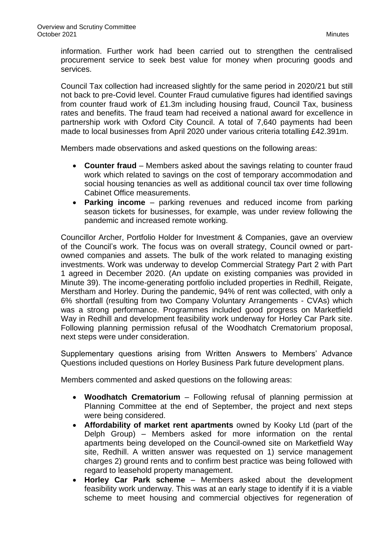information. Further work had been carried out to strengthen the centralised procurement service to seek best value for money when procuring goods and services.

Council Tax collection had increased slightly for the same period in 2020/21 but still not back to pre-Covid level. Counter Fraud cumulative figures had identified savings from counter fraud work of £1.3m including housing fraud, Council Tax, business rates and benefits. The fraud team had received a national award for excellence in partnership work with Oxford City Council. A total of 7,640 payments had been made to local businesses from April 2020 under various criteria totalling £42.391m.

Members made observations and asked questions on the following areas:

- **Counter fraud** Members asked about the savings relating to counter fraud work which related to savings on the cost of temporary accommodation and social housing tenancies as well as additional council tax over time following Cabinet Office measurements.
- **Parking income** parking revenues and reduced income from parking season tickets for businesses, for example, was under review following the pandemic and increased remote working.

Councillor Archer, Portfolio Holder for Investment & Companies, gave an overview of the Council's work. The focus was on overall strategy, Council owned or partowned companies and assets. The bulk of the work related to managing existing investments. Work was underway to develop Commercial Strategy Part 2 with Part 1 agreed in December 2020. (An update on existing companies was provided in Minute 39). The income-generating portfolio included properties in Redhill, Reigate, Merstham and Horley. During the pandemic, 94% of rent was collected, with only a 6% shortfall (resulting from two Company Voluntary Arrangements - CVAs) which was a strong performance. Programmes included good progress on Marketfield Way in Redhill and development feasibility work underway for Horley Car Park site. Following planning permission refusal of the Woodhatch Crematorium proposal, next steps were under consideration.

Supplementary questions arising from Written Answers to Members' Advance Questions included questions on Horley Business Park future development plans.

Members commented and asked questions on the following areas:

- **Woodhatch Crematorium** Following refusal of planning permission at Planning Committee at the end of September, the project and next steps were being considered.
- **Affordability of market rent apartments** owned by Kooky Ltd (part of the Delph Group) – Members asked for more information on the rental apartments being developed on the Council-owned site on Marketfield Way site, Redhill. A written answer was requested on 1) service management charges 2) ground rents and to confirm best practice was being followed with regard to leasehold property management.
- **Horley Car Park scheme** Members asked about the development feasibility work underway. This was at an early stage to identify if it is a viable scheme to meet housing and commercial objectives for regeneration of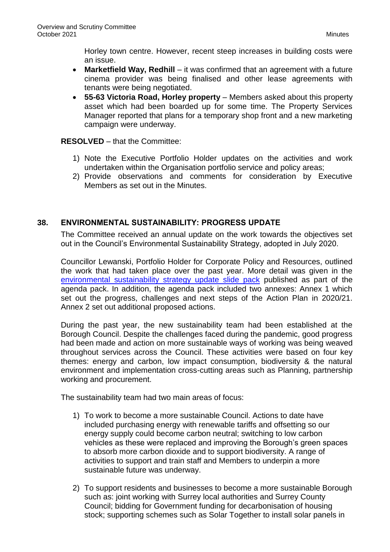Horley town centre. However, recent steep increases in building costs were an issue.

- **Marketfield Way, Redhill** it was confirmed that an agreement with a future cinema provider was being finalised and other lease agreements with tenants were being negotiated.
- **55-63 Victoria Road, Horley property** Members asked about this property asset which had been boarded up for some time. The Property Services Manager reported that plans for a temporary shop front and a new marketing campaign were underway.

**RESOLVED** – that the Committee:

- 1) Note the Executive Portfolio Holder updates on the activities and work undertaken within the Organisation portfolio service and policy areas;
- 2) Provide observations and comments for consideration by Executive Members as set out in the Minutes.

# **38. ENVIRONMENTAL SUSTAINABILITY: PROGRESS UPDATE**

The Committee received an annual update on the work towards the objectives set out in the Council's Environmental Sustainability Strategy, adopted in July 2020.

Councillor Lewanski, Portfolio Holder for Corporate Policy and Resources, outlined the work that had taken place over the past year. More detail was given in the [environmental sustainability strategy update slide pack](https://reigate-banstead.moderngov.co.uk/documents/s16848/OS%20Slide%20Deck%20FINAL.pdf) published as part of the agenda pack. In addition, the agenda pack included two annexes: Annex 1 which set out the progress, challenges and next steps of the Action Plan in 2020/21. Annex 2 set out additional proposed actions.

During the past year, the new sustainability team had been established at the Borough Council. Despite the challenges faced during the pandemic, good progress had been made and action on more sustainable ways of working was being weaved throughout services across the Council. These activities were based on four key themes: energy and carbon, low impact consumption, biodiversity & the natural environment and implementation cross-cutting areas such as Planning, partnership working and procurement.

The sustainability team had two main areas of focus:

- 1) To work to become a more sustainable Council. Actions to date have included purchasing energy with renewable tariffs and offsetting so our energy supply could become carbon neutral; switching to low carbon vehicles as these were replaced and improving the Borough's green spaces to absorb more carbon dioxide and to support biodiversity. A range of activities to support and train staff and Members to underpin a more sustainable future was underway.
- 2) To support residents and businesses to become a more sustainable Borough such as: joint working with Surrey local authorities and Surrey County Council; bidding for Government funding for decarbonisation of housing stock; supporting schemes such as Solar Together to install solar panels in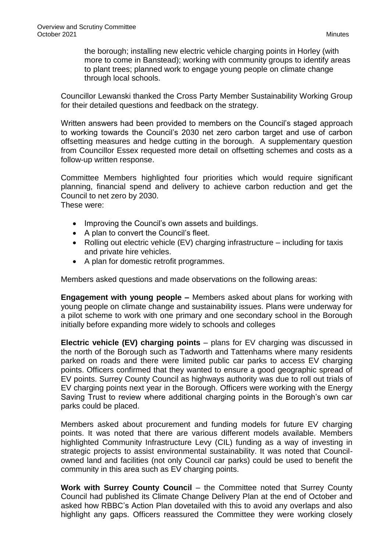the borough; installing new electric vehicle charging points in Horley (with more to come in Banstead); working with community groups to identify areas to plant trees; planned work to engage young people on climate change through local schools.

Councillor Lewanski thanked the Cross Party Member Sustainability Working Group for their detailed questions and feedback on the strategy.

Written answers had been provided to members on the Council's staged approach to working towards the Council's 2030 net zero carbon target and use of carbon offsetting measures and hedge cutting in the borough. A supplementary question from Councillor Essex requested more detail on offsetting schemes and costs as a follow-up written response.

Committee Members highlighted four priorities which would require significant planning, financial spend and delivery to achieve carbon reduction and get the Council to net zero by 2030. These were:

- Improving the Council's own assets and buildings.
- A plan to convert the Council's fleet.
- Rolling out electric vehicle (EV) charging infrastructure including for taxis and private hire vehicles.
- A plan for domestic retrofit programmes.

Members asked questions and made observations on the following areas:

**Engagement with young people –** Members asked about plans for working with young people on climate change and sustainability issues. Plans were underway for a pilot scheme to work with one primary and one secondary school in the Borough initially before expanding more widely to schools and colleges

**Electric vehicle (EV) charging points** – plans for EV charging was discussed in the north of the Borough such as Tadworth and Tattenhams where many residents parked on roads and there were limited public car parks to access EV charging points. Officers confirmed that they wanted to ensure a good geographic spread of EV points. Surrey County Council as highways authority was due to roll out trials of EV charging points next year in the Borough. Officers were working with the Energy Saving Trust to review where additional charging points in the Borough's own car parks could be placed.

Members asked about procurement and funding models for future EV charging points. It was noted that there are various different models available. Members highlighted Community Infrastructure Levy (CIL) funding as a way of investing in strategic projects to assist environmental sustainability. It was noted that Councilowned land and facilities (not only Council car parks) could be used to benefit the community in this area such as EV charging points.

**Work with Surrey County Council** – the Committee noted that Surrey County Council had published its Climate Change Delivery Plan at the end of October and asked how RBBC's Action Plan dovetailed with this to avoid any overlaps and also highlight any gaps. Officers reassured the Committee they were working closely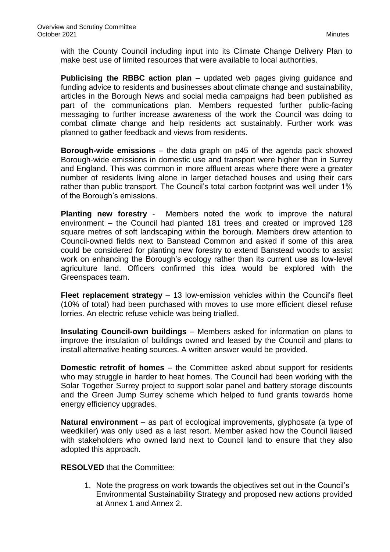with the County Council including input into its Climate Change Delivery Plan to make best use of limited resources that were available to local authorities.

**Publicising the RBBC action plan** – updated web pages giving guidance and funding advice to residents and businesses about climate change and sustainability, articles in the Borough News and social media campaigns had been published as part of the communications plan. Members requested further public-facing messaging to further increase awareness of the work the Council was doing to combat climate change and help residents act sustainably. Further work was planned to gather feedback and views from residents.

**Borough-wide emissions** – the data graph on p45 of the agenda pack showed Borough-wide emissions in domestic use and transport were higher than in Surrey and England. This was common in more affluent areas where there were a greater number of residents living alone in larger detached houses and using their cars rather than public transport. The Council's total carbon footprint was well under 1% of the Borough's emissions.

**Planting new forestry** - Members noted the work to improve the natural environment – the Council had planted 181 trees and created or improved 128 square metres of soft landscaping within the borough. Members drew attention to Council-owned fields next to Banstead Common and asked if some of this area could be considered for planting new forestry to extend Banstead woods to assist work on enhancing the Borough's ecology rather than its current use as low-level agriculture land. Officers confirmed this idea would be explored with the Greenspaces team.

**Fleet replacement strategy** – 13 low-emission vehicles within the Council's fleet (10% of total) had been purchased with moves to use more efficient diesel refuse lorries. An electric refuse vehicle was being trialled.

**Insulating Council-own buildings** – Members asked for information on plans to improve the insulation of buildings owned and leased by the Council and plans to install alternative heating sources. A written answer would be provided.

**Domestic retrofit of homes** – the Committee asked about support for residents who may struggle in harder to heat homes. The Council had been working with the Solar Together Surrey project to support solar panel and battery storage discounts and the Green Jump Surrey scheme which helped to fund grants towards home energy efficiency upgrades.

**Natural environment** – as part of ecological improvements, glyphosate (a type of weedkiller) was only used as a last resort. Member asked how the Council liaised with stakeholders who owned land next to Council land to ensure that they also adopted this approach.

**RESOLVED** that the Committee:

1. Note the progress on work towards the objectives set out in the Council's Environmental Sustainability Strategy and proposed new actions provided at Annex 1 and Annex 2.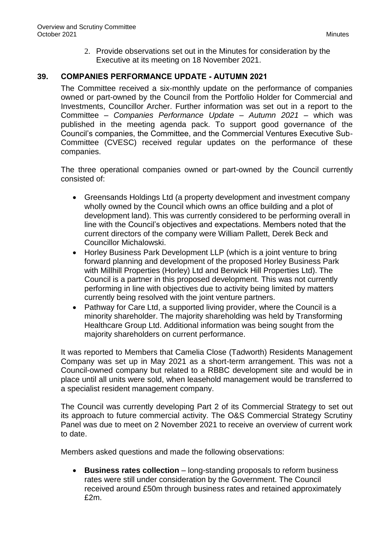2. Provide observations set out in the Minutes for consideration by the Executive at its meeting on 18 November 2021.

## **39. COMPANIES PERFORMANCE UPDATE - AUTUMN 2021**

The Committee received a six-monthly update on the performance of companies owned or part-owned by the Council from the Portfolio Holder for Commercial and Investments, Councillor Archer. Further information was set out in a report to the Committee – *Companies Performance Update – Autumn 2021* – which was published in the meeting agenda pack. To support good governance of the Council's companies, the Committee, and the Commercial Ventures Executive Sub-Committee (CVESC) received regular updates on the performance of these companies.

The three operational companies owned or part-owned by the Council currently consisted of:

- Greensands Holdings Ltd (a property development and investment company wholly owned by the Council which owns an office building and a plot of development land). This was currently considered to be performing overall in line with the Council's objectives and expectations. Members noted that the current directors of the company were William Pallett, Derek Beck and Councillor Michalowski.
- Horley Business Park Development LLP (which is a joint venture to bring forward planning and development of the proposed Horley Business Park with Millhill Properties (Horley) Ltd and Berwick Hill Properties Ltd). The Council is a partner in this proposed development. This was not currently performing in line with objectives due to activity being limited by matters currently being resolved with the joint venture partners.
- Pathway for Care Ltd, a supported living provider, where the Council is a minority shareholder. The majority shareholding was held by Transforming Healthcare Group Ltd. Additional information was being sought from the majority shareholders on current performance.

It was reported to Members that Camelia Close (Tadworth) Residents Management Company was set up in May 2021 as a short-term arrangement. This was not a Council-owned company but related to a RBBC development site and would be in place until all units were sold, when leasehold management would be transferred to a specialist resident management company.

The Council was currently developing Part 2 of its Commercial Strategy to set out its approach to future commercial activity. The O&S Commercial Strategy Scrutiny Panel was due to meet on 2 November 2021 to receive an overview of current work to date.

Members asked questions and made the following observations:

 **Business rates collection** – long-standing proposals to reform business rates were still under consideration by the Government. The Council received around £50m through business rates and retained approximately £2m.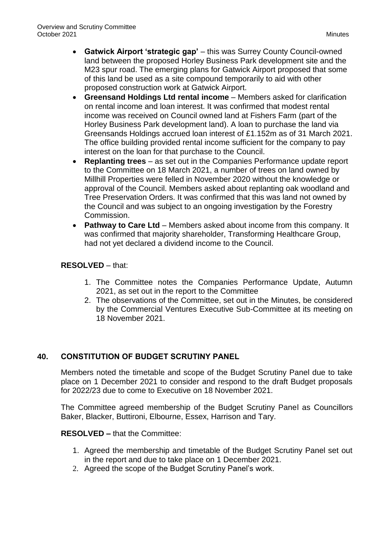- **Gatwick Airport 'strategic gap'** this was Surrey County Council-owned land between the proposed Horley Business Park development site and the M23 spur road. The emerging plans for Gatwick Airport proposed that some of this land be used as a site compound temporarily to aid with other proposed construction work at Gatwick Airport.
- **Greensand Holdings Ltd rental income** Members asked for clarification on rental income and loan interest. It was confirmed that modest rental income was received on Council owned land at Fishers Farm (part of the Horley Business Park development land). A loan to purchase the land via Greensands Holdings accrued loan interest of £1.152m as of 31 March 2021. The office building provided rental income sufficient for the company to pay interest on the loan for that purchase to the Council.
- **Replanting trees**  as set out in the Companies Performance update report to the Committee on 18 March 2021, a number of trees on land owned by Millhill Properties were felled in November 2020 without the knowledge or approval of the Council. Members asked about replanting oak woodland and Tree Preservation Orders. It was confirmed that this was land not owned by the Council and was subject to an ongoing investigation by the Forestry Commission.
- **Pathway to Care Ltd** Members asked about income from this company. It was confirmed that majority shareholder, Transforming Healthcare Group, had not yet declared a dividend income to the Council.

## **RESOLVED** – that:

- 1. The Committee notes the Companies Performance Update, Autumn 2021, as set out in the report to the Committee
- 2. The observations of the Committee, set out in the Minutes, be considered by the Commercial Ventures Executive Sub-Committee at its meeting on 18 November 2021.

## **40. CONSTITUTION OF BUDGET SCRUTINY PANEL**

Members noted the timetable and scope of the Budget Scrutiny Panel due to take place on 1 December 2021 to consider and respond to the draft Budget proposals for 2022/23 due to come to Executive on 18 November 2021.

The Committee agreed membership of the Budget Scrutiny Panel as Councillors Baker, Blacker, Buttironi, Elbourne, Essex, Harrison and Tary.

#### **RESOLVED –** that the Committee:

- 1. Agreed the membership and timetable of the Budget Scrutiny Panel set out in the report and due to take place on 1 December 2021.
- 2. Agreed the scope of the Budget Scrutiny Panel's work.